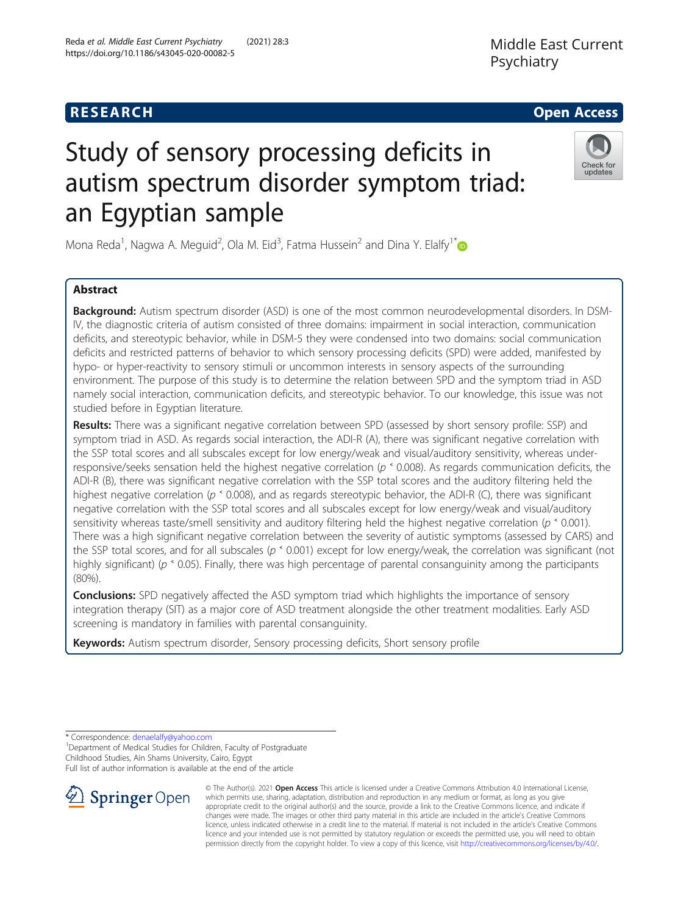## **RESEARCH CHE Open Access**

## Reda et al. Middle East Current Psychiatry (2021) 28:3 https://doi.org/10.1186/s43045-020-00082-5

Middle East Current Psychiatry

# Study of sensory processing deficits in autism spectrum disorder symptom triad: an Egyptian sample



Mona Reda<sup>1</sup>, Nagwa A. Meguid<sup>2</sup>, Ola M. Eid<sup>3</sup>, Fatma Hussein<sup>2</sup> and Dina Y. Elalfy<sup>1[\\*](http://orcid.org/0000-0002-4453-3998)</sup>

## Abstract

Background: Autism spectrum disorder (ASD) is one of the most common neurodevelopmental disorders. In DSM-IV, the diagnostic criteria of autism consisted of three domains: impairment in social interaction, communication deficits, and stereotypic behavior, while in DSM-5 they were condensed into two domains: social communication deficits and restricted patterns of behavior to which sensory processing deficits (SPD) were added, manifested by hypo- or hyper-reactivity to sensory stimuli or uncommon interests in sensory aspects of the surrounding environment. The purpose of this study is to determine the relation between SPD and the symptom triad in ASD namely social interaction, communication deficits, and stereotypic behavior. To our knowledge, this issue was not studied before in Egyptian literature.

Results: There was a significant negative correlation between SPD (assessed by short sensory profile: SSP) and symptom triad in ASD. As regards social interaction, the ADI-R (A), there was significant negative correlation with the SSP total scores and all subscales except for low energy/weak and visual/auditory sensitivity, whereas underresponsive/seeks sensation held the highest negative correlation (p ˂ 0.008). As regards communication deficits, the ADI-R (B), there was significant negative correlation with the SSP total scores and the auditory filtering held the highest negative correlation ( $p \text{ }^{\circ}$  0.008), and as regards stereotypic behavior, the ADI-R (C), there was significant negative correlation with the SSP total scores and all subscales except for low energy/weak and visual/auditory sensitivity whereas taste/smell sensitivity and auditory filtering held the highest negative correlation ( $p \text{ }^{\circ}$  0.001). There was a high significant negative correlation between the severity of autistic symptoms (assessed by CARS) and the SSP total scores, and for all subscales ( $p \text{ s}$  0.001) except for low energy/weak, the correlation was significant (not highly significant) ( $p \text{ s}$  0.05). Finally, there was high percentage of parental consanguinity among the participants (80%).

**Conclusions:** SPD negatively affected the ASD symptom triad which highlights the importance of sensory integration therapy (SIT) as a major core of ASD treatment alongside the other treatment modalities. Early ASD screening is mandatory in families with parental consanguinity.

Keywords: Autism spectrum disorder, Sensory processing deficits, Short sensory profile

\* Correspondence: [denaelalfy@yahoo.com](mailto:denaelalfy@yahoo.com) <sup>1</sup>

<sup>1</sup> Department of Medical Studies for Children, Faculty of Postgraduate Childhood Studies, Ain Shams University, Cairo, Egypt

Full list of author information is available at the end of the article



© The Author(s). 2021 Open Access This article is licensed under a Creative Commons Attribution 4.0 International License, which permits use, sharing, adaptation, distribution and reproduction in any medium or format, as long as you give appropriate credit to the original author(s) and the source, provide a link to the Creative Commons licence, and indicate if changes were made. The images or other third party material in this article are included in the article's Creative Commons licence, unless indicated otherwise in a credit line to the material. If material is not included in the article's Creative Commons licence and your intended use is not permitted by statutory regulation or exceeds the permitted use, you will need to obtain permission directly from the copyright holder. To view a copy of this licence, visit <http://creativecommons.org/licenses/by/4.0/>.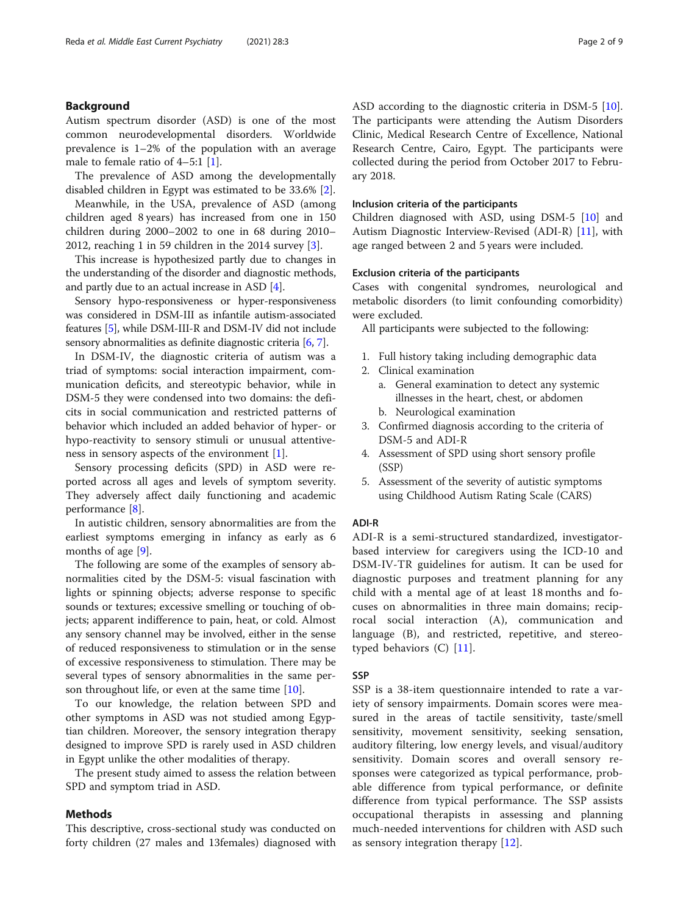## Background

Autism spectrum disorder (ASD) is one of the most common neurodevelopmental disorders. Worldwide prevalence is 1–2% of the population with an average male to female ratio of 4–5:1 [[1\]](#page-7-0).

The prevalence of ASD among the developmentally disabled children in Egypt was estimated to be 33.6% [[2\]](#page-7-0).

Meanwhile, in the USA, prevalence of ASD (among children aged 8 years) has increased from one in 150 children during 2000–2002 to one in 68 during 2010– 2012, reaching 1 in 59 children in the 2014 survey [[3\]](#page-7-0).

This increase is hypothesized partly due to changes in the understanding of the disorder and diagnostic methods, and partly due to an actual increase in ASD [\[4](#page-7-0)].

Sensory hypo-responsiveness or hyper-responsiveness was considered in DSM-III as infantile autism-associated features [\[5](#page-7-0)], while DSM-III-R and DSM-IV did not include sensory abnormalities as definite diagnostic criteria [[6](#page-7-0), [7\]](#page-7-0).

In DSM-IV, the diagnostic criteria of autism was a triad of symptoms: social interaction impairment, communication deficits, and stereotypic behavior, while in DSM-5 they were condensed into two domains: the deficits in social communication and restricted patterns of behavior which included an added behavior of hyper- or hypo-reactivity to sensory stimuli or unusual attentiveness in sensory aspects of the environment  $[1]$  $[1]$ .

Sensory processing deficits (SPD) in ASD were reported across all ages and levels of symptom severity. They adversely affect daily functioning and academic performance [[8](#page-7-0)].

In autistic children, sensory abnormalities are from the earliest symptoms emerging in infancy as early as 6 months of age [\[9](#page-7-0)].

The following are some of the examples of sensory abnormalities cited by the DSM-5: visual fascination with lights or spinning objects; adverse response to specific sounds or textures; excessive smelling or touching of objects; apparent indifference to pain, heat, or cold. Almost any sensory channel may be involved, either in the sense of reduced responsiveness to stimulation or in the sense of excessive responsiveness to stimulation. There may be several types of sensory abnormalities in the same person throughout life, or even at the same time [\[10](#page-7-0)].

To our knowledge, the relation between SPD and other symptoms in ASD was not studied among Egyptian children. Moreover, the sensory integration therapy designed to improve SPD is rarely used in ASD children in Egypt unlike the other modalities of therapy.

The present study aimed to assess the relation between SPD and symptom triad in ASD.

## Methods

This descriptive, cross-sectional study was conducted on forty children (27 males and 13females) diagnosed with ASD according to the diagnostic criteria in DSM-5 [\[10](#page-7-0)]. The participants were attending the Autism Disorders Clinic, Medical Research Centre of Excellence, National Research Centre, Cairo, Egypt. The participants were collected during the period from October 2017 to February 2018.

#### Inclusion criteria of the participants

Children diagnosed with ASD, using DSM-5 [[10](#page-7-0)] and Autism Diagnostic Interview-Revised (ADI-R) [[11\]](#page-7-0), with age ranged between 2 and 5 years were included.

#### Exclusion criteria of the participants

Cases with congenital syndromes, neurological and metabolic disorders (to limit confounding comorbidity) were excluded.

All participants were subjected to the following:

- 1. Full history taking including demographic data
- 2. Clinical examination
	- a. General examination to detect any systemic illnesses in the heart, chest, or abdomen
	- b. Neurological examination
- 3. Confirmed diagnosis according to the criteria of DSM-5 and ADI-R
- 4. Assessment of SPD using short sensory profile (SSP)
- 5. Assessment of the severity of autistic symptoms using Childhood Autism Rating Scale (CARS)

## ADI-R

ADI-R is a semi-structured standardized, investigatorbased interview for caregivers using the ICD-10 and DSM-IV-TR guidelines for autism. It can be used for diagnostic purposes and treatment planning for any child with a mental age of at least 18 months and focuses on abnormalities in three main domains; reciprocal social interaction (A), communication and language (B), and restricted, repetitive, and stereotyped behaviors (C) [\[11\]](#page-7-0).

#### **SSP**

SSP is a 38-item questionnaire intended to rate a variety of sensory impairments. Domain scores were measured in the areas of tactile sensitivity, taste/smell sensitivity, movement sensitivity, seeking sensation, auditory filtering, low energy levels, and visual/auditory sensitivity. Domain scores and overall sensory responses were categorized as typical performance, probable difference from typical performance, or definite difference from typical performance. The SSP assists occupational therapists in assessing and planning much-needed interventions for children with ASD such as sensory integration therapy [\[12](#page-7-0)].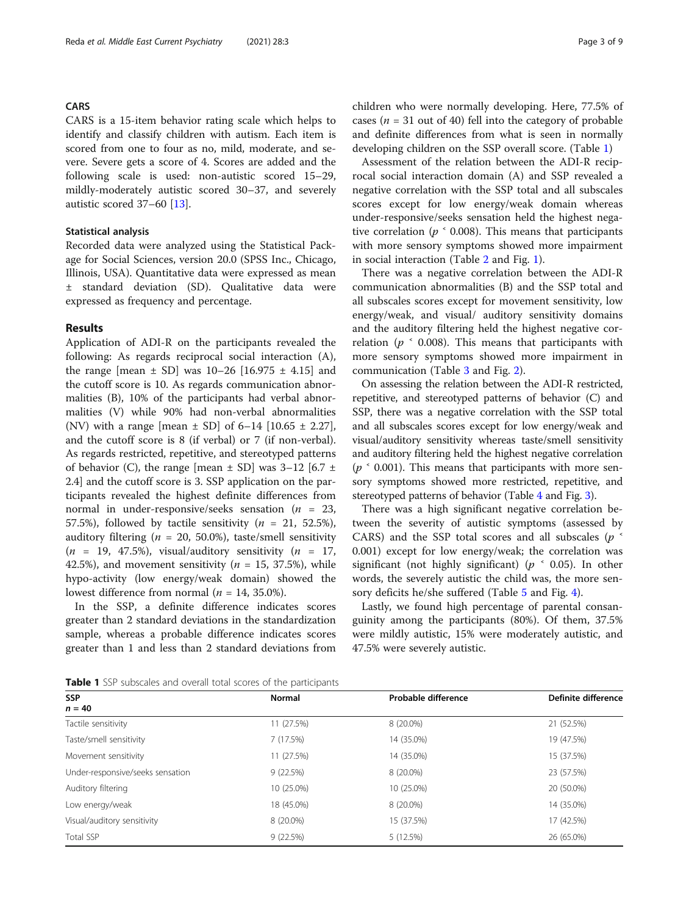#### CARS

CARS is a 15-item behavior rating scale which helps to identify and classify children with autism. Each item is scored from one to four as no, mild, moderate, and severe. Severe gets a score of 4. Scores are added and the following scale is used: non-autistic scored 15–29, mildly-moderately autistic scored 30–37, and severely autistic scored 37–60 [\[13\]](#page-7-0).

## Statistical analysis

Recorded data were analyzed using the Statistical Package for Social Sciences, version 20.0 (SPSS Inc., Chicago, Illinois, USA). Quantitative data were expressed as mean ± standard deviation (SD). Qualitative data were expressed as frequency and percentage.

## Results

Application of ADI-R on the participants revealed the following: As regards reciprocal social interaction (A), the range  $[mean \pm SD]$  was 10–26  $[16.975 \pm 4.15]$  and the cutoff score is 10. As regards communication abnormalities (B), 10% of the participants had verbal abnormalities (V) while 90% had non-verbal abnormalities (NV) with a range [mean  $\pm$  SD] of 6–14 [10.65  $\pm$  2.27], and the cutoff score is 8 (if verbal) or 7 (if non-verbal). As regards restricted, repetitive, and stereotyped patterns of behavior (C), the range [mean  $\pm$  SD] was 3–12 [6.7  $\pm$ 2.4] and the cutoff score is 3. SSP application on the participants revealed the highest definite differences from normal in under-responsive/seeks sensation ( $n = 23$ , 57.5%), followed by tactile sensitivity ( $n = 21, 52.5\%$ ), auditory filtering ( $n = 20, 50.0\%$ ), taste/smell sensitivity  $(n = 19, 47.5\%)$ , visual/auditory sensitivity  $(n = 17,$ 42.5%), and movement sensitivity ( $n = 15, 37.5%$ ), while hypo-activity (low energy/weak domain) showed the lowest difference from normal ( $n = 14, 35.0\%$ ).

In the SSP, a definite difference indicates scores greater than 2 standard deviations in the standardization sample, whereas a probable difference indicates scores greater than 1 and less than 2 standard deviations from

Assessment of the relation between the ADI-R reciprocal social interaction domain (A) and SSP revealed a negative correlation with the SSP total and all subscales scores except for low energy/weak domain whereas under-responsive/seeks sensation held the highest negative correlation ( $p \text{ }^{\textdegree}$  0.008). This means that participants with more sensory symptoms showed more impairment in social interaction (Table [2](#page-3-0) and Fig. [1\)](#page-3-0).

There was a negative correlation between the ADI-R communication abnormalities (B) and the SSP total and all subscales scores except for movement sensitivity, low energy/weak, and visual/ auditory sensitivity domains and the auditory filtering held the highest negative correlation ( $p \simeq 0.008$ ). This means that participants with more sensory symptoms showed more impairment in communication (Table [3](#page-3-0) and Fig. [2](#page-4-0)).

On assessing the relation between the ADI-R restricted, repetitive, and stereotyped patterns of behavior (C) and SSP, there was a negative correlation with the SSP total and all subscales scores except for low energy/weak and visual/auditory sensitivity whereas taste/smell sensitivity and auditory filtering held the highest negative correlation  $(p \text{ }^{\circ} 0.001)$ . This means that participants with more sensory symptoms showed more restricted, repetitive, and stereotyped patterns of behavior (Table [4](#page-4-0) and Fig. [3\)](#page-5-0).

There was a high significant negative correlation between the severity of autistic symptoms (assessed by CARS) and the SSP total scores and all subscales ( $p^{\text{th}}$ 0.001) except for low energy/weak; the correlation was significant (not highly significant) ( $p \text{ }^{\circ}$  0.05). In other words, the severely autistic the child was, the more sensory deficits he/she suffered (Table [5](#page-5-0) and Fig. [4](#page-6-0)).

Lastly, we found high percentage of parental consanguinity among the participants (80%). Of them, 37.5% were mildly autistic, 15% were moderately autistic, and 47.5% were severely autistic.

Table 1 SSP subscales and overall total scores of the participants

| <b>SSP</b>                       | <b>Normal</b> | Probable difference | Definite difference |  |
|----------------------------------|---------------|---------------------|---------------------|--|
| $n = 40$                         |               |                     |                     |  |
| Tactile sensitivity              | 11(27.5%)     | 8 (20.0%)           | 21 (52.5%)          |  |
| Taste/smell sensitivity          | 7 (17.5%)     | 14 (35.0%)          | 19 (47.5%)          |  |
| Movement sensitivity             | 11(27.5%)     | 14 (35.0%)          | 15 (37.5%)          |  |
| Under-responsive/seeks sensation | 9(22.5%)      | 8 (20.0%)           | 23 (57.5%)          |  |
| Auditory filtering               | 10 (25.0%)    | 10 (25.0%)          | 20 (50.0%)          |  |
| Low energy/weak                  | 18 (45.0%)    | 8 (20.0%)           | 14 (35.0%)          |  |
| Visual/auditory sensitivity      | 8 (20.0%)     | 15 (37.5%)          | 17 (42.5%)          |  |
| Total SSP                        | 9(22.5%)      | 5 (12.5%)           | 26 (65.0%)          |  |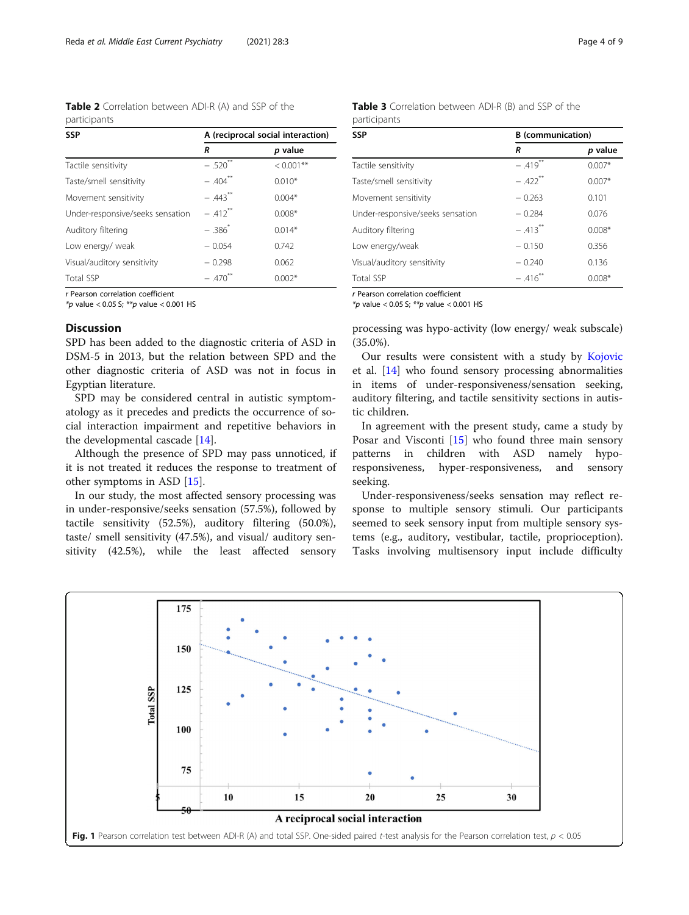<span id="page-3-0"></span>Table 2 Correlation between ADI-R (A) and SSP of the participants

| <b>SSP</b>                       | A (reciprocal social interaction) |              |  |  |  |
|----------------------------------|-----------------------------------|--------------|--|--|--|
|                                  | R                                 | p value      |  |  |  |
| Tactile sensitivity              | $-.520$ <sup>**</sup>             | $< 0.001$ ** |  |  |  |
| Taste/smell sensitivity          | $-.404$ <sup>**</sup>             | $0.010*$     |  |  |  |
| Movement sensitivity             | $-.443$ **                        | $0.004*$     |  |  |  |
| Under-responsive/seeks sensation | $-.412$ <sup>**</sup>             | $0.008*$     |  |  |  |
| Auditory filtering               | $-.386^{*}$                       | $0.014*$     |  |  |  |
| Low energy/ weak                 | $-0.054$                          | 0.742        |  |  |  |
| Visual/auditory sensitivity      | $-0.298$                          | 0.062        |  |  |  |
| <b>Total SSP</b>                 | $-.470$ <sup>**</sup>             | $0.002*$     |  |  |  |

r Pearson correlation coefficient

 $*$ *p* value < 0.05 S;  $*$ *p* value < 0.001 HS

## Discussion

SPD has been added to the diagnostic criteria of ASD in DSM-5 in 2013, but the relation between SPD and the other diagnostic criteria of ASD was not in focus in Egyptian literature.

SPD may be considered central in autistic symptomatology as it precedes and predicts the occurrence of social interaction impairment and repetitive behaviors in the developmental cascade [\[14\]](#page-7-0).

Although the presence of SPD may pass unnoticed, if it is not treated it reduces the response to treatment of other symptoms in ASD [\[15](#page-7-0)].

In our study, the most affected sensory processing was in under-responsive/seeks sensation (57.5%), followed by tactile sensitivity (52.5%), auditory filtering (50.0%), taste/ smell sensitivity (47.5%), and visual/ auditory sensitivity (42.5%), while the least affected sensory

| <b>Table 3</b> Correlation between ADI-R (B) and SSP of the |  |  |  |  |
|-------------------------------------------------------------|--|--|--|--|
| participants                                                |  |  |  |  |

| SSP                              | <b>B</b> (communication) |          |  |  |  |
|----------------------------------|--------------------------|----------|--|--|--|
|                                  | R                        | p value  |  |  |  |
| Tactile sensitivity              | $-419**$                 | $0.007*$ |  |  |  |
| Taste/smell sensitivity          | $-.422$ <sup>**</sup>    | $0.007*$ |  |  |  |
| Movement sensitivity             | $-0.263$                 | 0.101    |  |  |  |
| Under-responsive/seeks sensation | $-0.284$                 | 0.076    |  |  |  |
| Auditory filtering               | $-413**$                 | $0.008*$ |  |  |  |
| Low energy/weak                  | $-0.150$                 | 0.356    |  |  |  |
| Visual/auditory sensitivity      | $-0.240$                 | 0.136    |  |  |  |
| Total SSP                        | $-.416$ <sup>**</sup>    | $0.008*$ |  |  |  |

r Pearson correlation coefficient

 $*_{p}$  value < 0.05 S;  $*_{p}$  value < 0.001 HS

processing was hypo-activity (low energy/ weak subscale) (35.0%).

Our results were consistent with a study by [Kojovic](https://www.ncbi.nlm.nih.gov/pubmed/?term=Kojovic%20N%5BAuthor%5D&cauthor=true&cauthor_uid=31547076) et al. [\[14](#page-7-0)] who found sensory processing abnormalities in items of under-responsiveness/sensation seeking, auditory filtering, and tactile sensitivity sections in autistic children.

In agreement with the present study, came a study by Posar and Visconti [[15](#page-7-0)] who found three main sensory patterns in children with ASD namely hyporesponsiveness, hyper-responsiveness, and sensory seeking.

Under-responsiveness/seeks sensation may reflect response to multiple sensory stimuli. Our participants seemed to seek sensory input from multiple sensory systems (e.g., auditory, vestibular, tactile, proprioception). Tasks involving multisensory input include difficulty

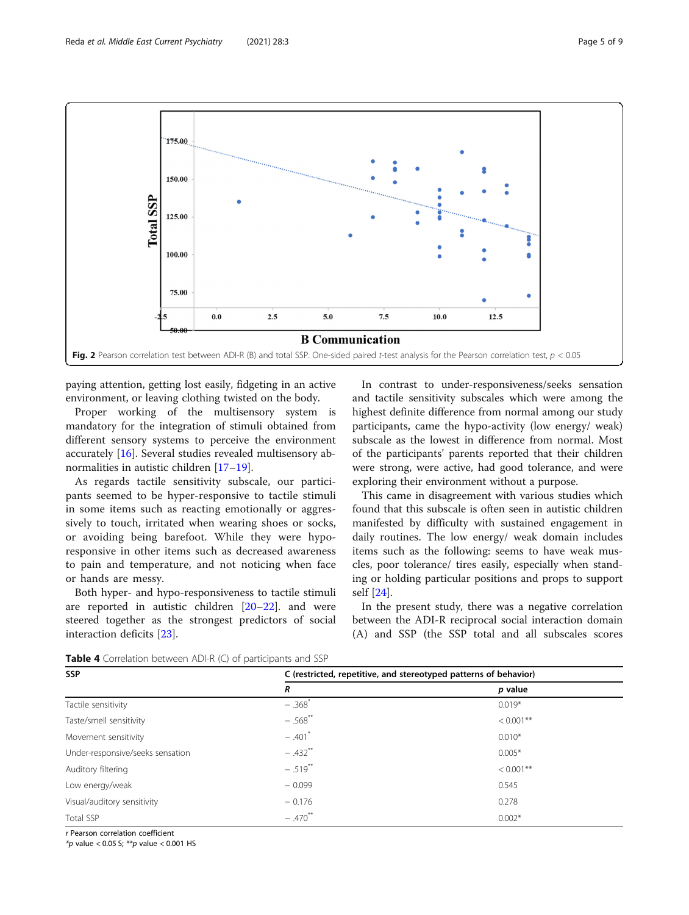<span id="page-4-0"></span>

paying attention, getting lost easily, fidgeting in an active environment, or leaving clothing twisted on the body.

Proper working of the multisensory system is mandatory for the integration of stimuli obtained from different sensory systems to perceive the environment accurately [\[16\]](#page-7-0). Several studies revealed multisensory abnormalities in autistic children [\[17](#page-7-0)–[19\]](#page-7-0).

As regards tactile sensitivity subscale, our participants seemed to be hyper-responsive to tactile stimuli in some items such as reacting emotionally or aggressively to touch, irritated when wearing shoes or socks, or avoiding being barefoot. While they were hyporesponsive in other items such as decreased awareness to pain and temperature, and not noticing when face or hands are messy.

Both hyper- and hypo-responsiveness to tactile stimuli are reported in autistic children [[20](#page-7-0)–[22](#page-7-0)]. and were steered together as the strongest predictors of social interaction deficits [[23\]](#page-7-0).

In contrast to under-responsiveness/seeks sensation and tactile sensitivity subscales which were among the highest definite difference from normal among our study participants, came the hypo-activity (low energy/ weak) subscale as the lowest in difference from normal. Most of the participants' parents reported that their children were strong, were active, had good tolerance, and were exploring their environment without a purpose.

This came in disagreement with various studies which found that this subscale is often seen in autistic children manifested by difficulty with sustained engagement in daily routines. The low energy/ weak domain includes items such as the following: seems to have weak muscles, poor tolerance/ tires easily, especially when standing or holding particular positions and props to support self [\[24](#page-7-0)].

In the present study, there was a negative correlation between the ADI-R reciprocal social interaction domain (A) and SSP (the SSP total and all subscales scores

**Table 4** Correlation between ADI-R (C) of participants and SSP

| <b>SSP</b>                       | C (restricted, repetitive, and stereotyped patterns of behavior) |              |  |  |  |
|----------------------------------|------------------------------------------------------------------|--------------|--|--|--|
|                                  | R                                                                | p value      |  |  |  |
| Tactile sensitivity              | $-.368$ <sup>*</sup>                                             | $0.019*$     |  |  |  |
| Taste/smell sensitivity          | $-.568$ <sup>**</sup>                                            | $< 0.001$ ** |  |  |  |
| Movement sensitivity             | $-.401$ <sup>*</sup>                                             | $0.010*$     |  |  |  |
| Under-responsive/seeks sensation | $-.432$ <sup>**</sup>                                            | $0.005*$     |  |  |  |
| Auditory filtering               | $-.519***$                                                       | $< 0.001$ ** |  |  |  |
| Low energy/weak                  | $-0.099$                                                         | 0.545        |  |  |  |
| Visual/auditory sensitivity      | $-0.176$                                                         | 0.278        |  |  |  |
| Total SSP                        | $-.470$ <sup>**</sup>                                            | $0.002*$     |  |  |  |

r Pearson correlation coefficient

 $*$ p value < 0.05 S;  $**$ p value < 0.001 HS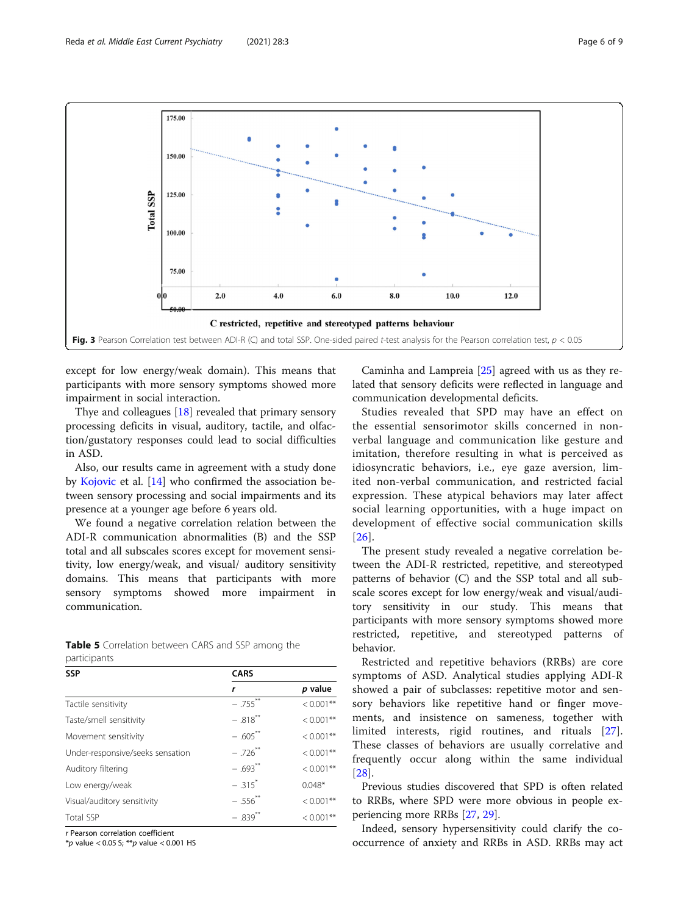<span id="page-5-0"></span>

except for low energy/weak domain). This means that participants with more sensory symptoms showed more impairment in social interaction.

Thye and colleagues [[18\]](#page-7-0) revealed that primary sensory processing deficits in visual, auditory, tactile, and olfaction/gustatory responses could lead to social difficulties in ASD.

Also, our results came in agreement with a study done by [Kojovic](https://www.ncbi.nlm.nih.gov/pubmed/?term=Kojovic%20N%5BAuthor%5D&cauthor=true&cauthor_uid=31547076) et al. [[14](#page-7-0)] who confirmed the association between sensory processing and social impairments and its presence at a younger age before 6 years old.

We found a negative correlation relation between the ADI-R communication abnormalities (B) and the SSP total and all subscales scores except for movement sensitivity, low energy/weak, and visual/ auditory sensitivity domains. This means that participants with more sensory symptoms showed more impairment in communication.

|              | Table 5 Correlation between CARS and SSP among the |  |  |  |
|--------------|----------------------------------------------------|--|--|--|
| participants |                                                    |  |  |  |

| <b>SSP</b>                       | <b>CARS</b>            |              |  |  |  |
|----------------------------------|------------------------|--------------|--|--|--|
|                                  | r                      | p value      |  |  |  |
| Tactile sensitivity              | $-.755$ <sup>**</sup>  | $< 0.001$ ** |  |  |  |
| Taste/smell sensitivity          | $-.818$ <sup>**</sup>  | $< 0.001$ ** |  |  |  |
| Movement sensitivity             | $-.605$ <sup>**</sup>  | $< 0.001$ ** |  |  |  |
| Under-responsive/seeks sensation | $-.726$ <sup>**</sup>  | $< 0.001**$  |  |  |  |
| Auditory filtering               | $-.693$ <sup>**</sup>  | $< 0.001$ ** |  |  |  |
| Low energy/weak                  | $-315$ <sup>*</sup>    | $0.048*$     |  |  |  |
| Visual/auditory sensitivity      | $-.556$ <sup>***</sup> | $< 0.001$ ** |  |  |  |
| <b>Total SSP</b>                 | $-.839$ <sup>**</sup>  | $< 0.001$ ** |  |  |  |

r Pearson correlation coefficient

 $*p$  value < 0.05 S;  $**p$  value < 0.001 HS

Caminha and Lampreia [[25](#page-7-0)] agreed with us as they related that sensory deficits were reflected in language and communication developmental deficits.

Studies revealed that SPD may have an effect on the essential sensorimotor skills concerned in nonverbal language and communication like gesture and imitation, therefore resulting in what is perceived as idiosyncratic behaviors, i.e., eye gaze aversion, limited non-verbal communication, and restricted facial expression. These atypical behaviors may later affect social learning opportunities, with a huge impact on development of effective social communication skills [[26](#page-7-0)].

The present study revealed a negative correlation between the ADI-R restricted, repetitive, and stereotyped patterns of behavior (C) and the SSP total and all subscale scores except for low energy/weak and visual/auditory sensitivity in our study. This means that participants with more sensory symptoms showed more restricted, repetitive, and stereotyped patterns of behavior.

Restricted and repetitive behaviors (RRBs) are core symptoms of ASD. Analytical studies applying ADI-R showed a pair of subclasses: repetitive motor and sensory behaviors like repetitive hand or finger movements, and insistence on sameness, together with limited interests, rigid routines, and rituals [\[27](#page-7-0)]. These classes of behaviors are usually correlative and frequently occur along within the same individual [[28\]](#page-7-0).

Previous studies discovered that SPD is often related to RRBs, where SPD were more obvious in people experiencing more RRBs [[27](#page-7-0), [29](#page-8-0)].

Indeed, sensory hypersensitivity could clarify the cooccurrence of anxiety and RRBs in ASD. RRBs may act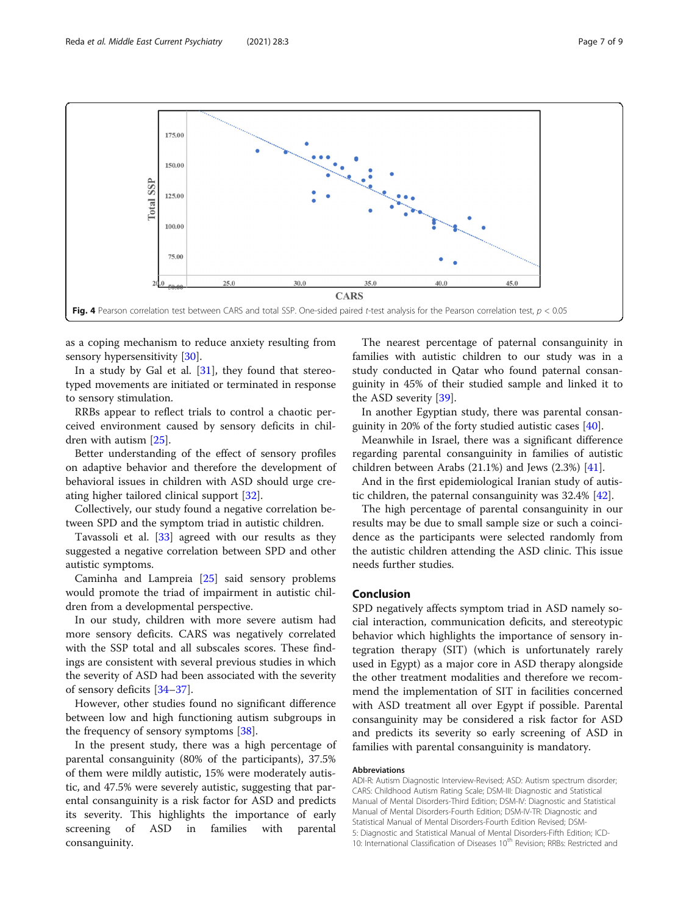<span id="page-6-0"></span>

as a coping mechanism to reduce anxiety resulting from sensory hypersensitivity [[30](#page-8-0)].

In a study by Gal et al. [\[31\]](#page-8-0), they found that stereotyped movements are initiated or terminated in response to sensory stimulation.

RRBs appear to reflect trials to control a chaotic perceived environment caused by sensory deficits in children with autism [[25\]](#page-7-0).

Better understanding of the effect of sensory profiles on adaptive behavior and therefore the development of behavioral issues in children with ASD should urge creating higher tailored clinical support [\[32](#page-8-0)].

Collectively, our study found a negative correlation between SPD and the symptom triad in autistic children.

Tavassoli et al. [[33\]](#page-8-0) agreed with our results as they suggested a negative correlation between SPD and other autistic symptoms.

Caminha and Lampreia [[25](#page-7-0)] said sensory problems would promote the triad of impairment in autistic children from a developmental perspective.

In our study, children with more severe autism had more sensory deficits. CARS was negatively correlated with the SSP total and all subscales scores. These findings are consistent with several previous studies in which the severity of ASD had been associated with the severity of sensory deficits [\[34](#page-8-0)–[37\]](#page-8-0).

However, other studies found no significant difference between low and high functioning autism subgroups in the frequency of sensory symptoms [[38\]](#page-8-0).

In the present study, there was a high percentage of parental consanguinity (80% of the participants), 37.5% of them were mildly autistic, 15% were moderately autistic, and 47.5% were severely autistic, suggesting that parental consanguinity is a risk factor for ASD and predicts its severity. This highlights the importance of early screening of ASD in families with parental consanguinity.

The nearest percentage of paternal consanguinity in families with autistic children to our study was in a study conducted in Qatar who found paternal consanguinity in 45% of their studied sample and linked it to the ASD severity [[39](#page-8-0)].

In another Egyptian study, there was parental consanguinity in 20% of the forty studied autistic cases [[40\]](#page-8-0).

Meanwhile in Israel, there was a significant difference regarding parental consanguinity in families of autistic children between Arabs (21.1%) and Jews (2.3%) [\[41\]](#page-8-0).

And in the first epidemiological Iranian study of autistic children, the paternal consanguinity was 32.4% [[42\]](#page-8-0).

The high percentage of parental consanguinity in our results may be due to small sample size or such a coincidence as the participants were selected randomly from the autistic children attending the ASD clinic. This issue needs further studies.

## Conclusion

SPD negatively affects symptom triad in ASD namely social interaction, communication deficits, and stereotypic behavior which highlights the importance of sensory integration therapy (SIT) (which is unfortunately rarely used in Egypt) as a major core in ASD therapy alongside the other treatment modalities and therefore we recommend the implementation of SIT in facilities concerned with ASD treatment all over Egypt if possible. Parental consanguinity may be considered a risk factor for ASD and predicts its severity so early screening of ASD in families with parental consanguinity is mandatory.

#### Abbreviations

ADI-R: Autism Diagnostic Interview-Revised; ASD: Autism spectrum disorder; CARS: Childhood Autism Rating Scale; DSM-III: Diagnostic and Statistical Manual of Mental Disorders-Third Edition; DSM-IV: Diagnostic and Statistical Manual of Mental Disorders-Fourth Edition; DSM-IV-TR: Diagnostic and Statistical Manual of Mental Disorders-Fourth Edition Revised; DSM-5: Diagnostic and Statistical Manual of Mental Disorders-Fifth Edition; ICD-10: International Classification of Diseases 10<sup>th</sup> Revision; RRBs: Restricted and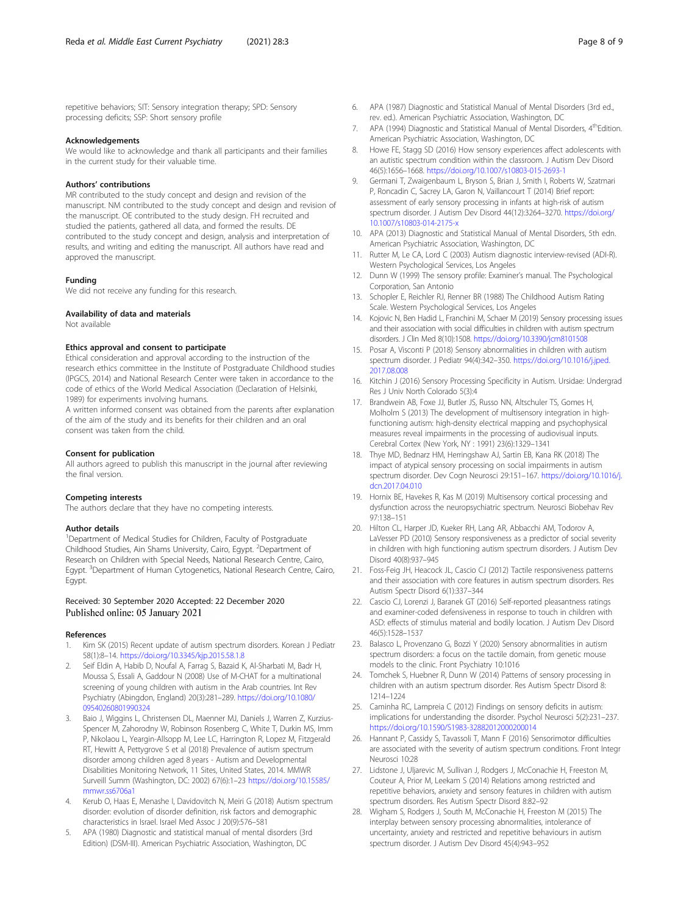<span id="page-7-0"></span>repetitive behaviors; SIT: Sensory integration therapy; SPD: Sensory processing deficits; SSP: Short sensory profile

#### Acknowledgements

We would like to acknowledge and thank all participants and their families in the current study for their valuable time.

#### Authors' contributions

MR contributed to the study concept and design and revision of the manuscript. NM contributed to the study concept and design and revision of the manuscript. OE contributed to the study design. FH recruited and studied the patients, gathered all data, and formed the results. DE contributed to the study concept and design, analysis and interpretation of results, and writing and editing the manuscript. All authors have read and approved the manuscript.

#### Funding

We did not receive any funding for this research.

#### Availability of data and materials

Not available

#### Ethics approval and consent to participate

Ethical consideration and approval according to the instruction of the research ethics committee in the Institute of Postgraduate Childhood studies (IPGCS, 2014) and National Research Center were taken in accordance to the code of ethics of the World Medical Association (Declaration of Helsinki, 1989) for experiments involving humans.

A written informed consent was obtained from the parents after explanation of the aim of the study and its benefits for their children and an oral consent was taken from the child.

#### Consent for publication

All authors agreed to publish this manuscript in the journal after reviewing the final version.

#### Competing interests

The authors declare that they have no competing interests.

#### Author details

<sup>1</sup>Department of Medical Studies for Children, Faculty of Postgraduate Childhood Studies, Ain Shams University, Cairo, Egypt. <sup>2</sup>Department of Research on Children with Special Needs, National Research Centre, Cairo, Egypt. <sup>3</sup>Department of Human Cytogenetics, National Research Centre, Cairo, Egypt.

#### Received: 30 September 2020 Accepted: 22 December 2020 Published online: 05 January 2021

#### References

- Kim SK (2015) Recent update of autism spectrum disorders. Korean J Pediatr 58(1):8–14. <https://doi.org/10.3345/kjp.2015.58.1.8>
- 2. Seif Eldin A, Habib D, Noufal A, Farrag S, Bazaid K, Al-Sharbati M, Badr H, Moussa S, Essali A, Gaddour N (2008) Use of M-CHAT for a multinational screening of young children with autism in the Arab countries. Int Rev Psychiatry (Abingdon, England) 20(3):281–289. [https://doi.org/10.1080/](https://doi.org/10.1080/09540260801990324) [09540260801990324](https://doi.org/10.1080/09540260801990324)
- Baio J, Wiggins L, Christensen DL, Maenner MJ, Daniels J, Warren Z, Kurzius-Spencer M, Zahorodny W, Robinson Rosenberg C, White T, Durkin MS, Imm P, Nikolaou L, Yeargin-Allsopp M, Lee LC, Harrington R, Lopez M, Fitzgerald RT, Hewitt A, Pettygrove S et al (2018) Prevalence of autism spectrum disorder among children aged 8 years - Autism and Developmental Disabilities Monitoring Network, 11 Sites, United States, 2014. MMWR Surveill Summ (Washington, DC: 2002) 67(6):1–23 [https://doi.org/10.15585/](https://doi.org/10.15585/mmwr.ss6706a1) [mmwr.ss6706a1](https://doi.org/10.15585/mmwr.ss6706a1)
- Kerub O, Haas E, Menashe I, Davidovitch N, Meiri G (2018) Autism spectrum disorder: evolution of disorder definition, risk factors and demographic characteristics in Israel. Israel Med Assoc J 20(9):576–581
- 5. APA (1980) Diagnostic and statistical manual of mental disorders (3rd Edition) (DSM-III). American Psychiatric Association, Washington, DC
- 6. APA (1987) Diagnostic and Statistical Manual of Mental Disorders (3rd ed., rev. ed.). American Psychiatric Association, Washington, DC
- 7. APA (1994) Diagnostic and Statistical Manual of Mental Disorders, 4<sup>th</sup>Edition. American Psychiatric Association, Washington, DC
- 8. Howe FE, Stagg SD (2016) How sensory experiences affect adolescents with an autistic spectrum condition within the classroom. J Autism Dev Disord 46(5):1656–1668. <https://doi.org/10.1007/s10803-015-2693-1>
- 9. Germani T, Zwaigenbaum L, Bryson S, Brian J, Smith I, Roberts W, Szatmari P, Roncadin C, Sacrey LA, Garon N, Vaillancourt T (2014) Brief report: assessment of early sensory processing in infants at high-risk of autism spectrum disorder. J Autism Dev Disord 44(12):3264–3270. [https://doi.org/](https://doi.org/10.1007/s10803-014-2175-x) [10.1007/s10803-014-2175-x](https://doi.org/10.1007/s10803-014-2175-x)
- 10. APA (2013) Diagnostic and Statistical Manual of Mental Disorders, 5th edn. American Psychiatric Association, Washington, DC
- 11. Rutter M, Le CA, Lord C (2003) Autism diagnostic interview-revised (ADI-R). Western Psychological Services, Los Angeles
- 12. Dunn W (1999) The sensory profile: Examiner's manual. The Psychological Corporation, San Antonio
- 13. Schopler E, Reichler RJ, Renner BR (1988) The Childhood Autism Rating Scale. Western Psychological Services, Los Angeles
- 14. Kojovic N, Ben Hadid L, Franchini M, Schaer M (2019) Sensory processing issues and their association with social difficulties in children with autism spectrum disorders. J Clin Med 8(10):1508. <https://doi.org/10.3390/jcm8101508>
- 15. Posar A, Visconti P (2018) Sensory abnormalities in children with autism spectrum disorder. J Pediatr 94(4):342–350. [https://doi.org/10.1016/j.jped.](https://doi.org/10.1016/j.jped.2017.08.008) [2017.08.008](https://doi.org/10.1016/j.jped.2017.08.008)
- 16. Kitchin J (2016) Sensory Processing Specificity in Autism. Ursidae: Undergrad Res J Univ North Colorado 5(3):4
- 17. Brandwein AB, Foxe JJ, Butler JS, Russo NN, Altschuler TS, Gomes H, Molholm S (2013) The development of multisensory integration in highfunctioning autism: high-density electrical mapping and psychophysical measures reveal impairments in the processing of audiovisual inputs. Cerebral Cortex (New York, NY : 1991) 23(6):1329–1341
- 18. Thye MD, Bednarz HM, Herringshaw AJ, Sartin EB, Kana RK (2018) The impact of atypical sensory processing on social impairments in autism spectrum disorder. Dev Cogn Neurosci 29:151–167. [https://doi.org/10.1016/j.](https://doi.org/10.1016/j.dcn.2017.04.010) [dcn.2017.04.010](https://doi.org/10.1016/j.dcn.2017.04.010)
- 19. Hornix BE, Havekes R, Kas M (2019) Multisensory cortical processing and dysfunction across the neuropsychiatric spectrum. Neurosci Biobehav Rev 97:138–151
- 20. Hilton CL, Harper JD, Kueker RH, Lang AR, Abbacchi AM, Todorov A, LaVesser PD (2010) Sensory responsiveness as a predictor of social severity in children with high functioning autism spectrum disorders. J Autism Dev Disord 40(8):937–945
- 21. Foss-Feig JH, Heacock JL, Cascio CJ (2012) Tactile responsiveness patterns and their association with core features in autism spectrum disorders. Res Autism Spectr Disord 6(1):337–344
- 22. Cascio CJ, Lorenzi J, Baranek GT (2016) Self-reported pleasantness ratings and examiner-coded defensiveness in response to touch in children with ASD: effects of stimulus material and bodily location. J Autism Dev Disord 46(5):1528–1537
- 23. Balasco L, Provenzano G, Bozzi Y (2020) Sensory abnormalities in autism spectrum disorders: a focus on the tactile domain, from genetic mouse models to the clinic. Front Psychiatry 10:1016
- 24. Tomchek S, Huebner R, Dunn W (2014) Patterns of sensory processing in children with an autism spectrum disorder. Res Autism Spectr Disord 8: 1214–1224
- 25. Caminha RC, Lampreia C (2012) Findings on sensory deficits in autism: implications for understanding the disorder. Psychol Neurosci 5(2):231–237. <https://doi.org/10.1590/S1983-32882012000200014>
- 26. Hannant P, Cassidy S, Tavassoli T, Mann F (2016) Sensorimotor difficulties are associated with the severity of autism spectrum conditions. Front Integr Neurosci 10:28
- 27. Lidstone J, Uljarevic M, Sullivan J, Rodgers J, McConachie H, Freeston M, Couteur A, Prior M, Leekam S (2014) Relations among restricted and repetitive behaviors, anxiety and sensory features in children with autism spectrum disorders. Res Autism Spectr Disord 8:82–92
- 28. Wigham S, Rodgers J, South M, McConachie H, Freeston M (2015) The interplay between sensory processing abnormalities, intolerance of uncertainty, anxiety and restricted and repetitive behaviours in autism spectrum disorder. J Autism Dev Disord 45(4):943–952